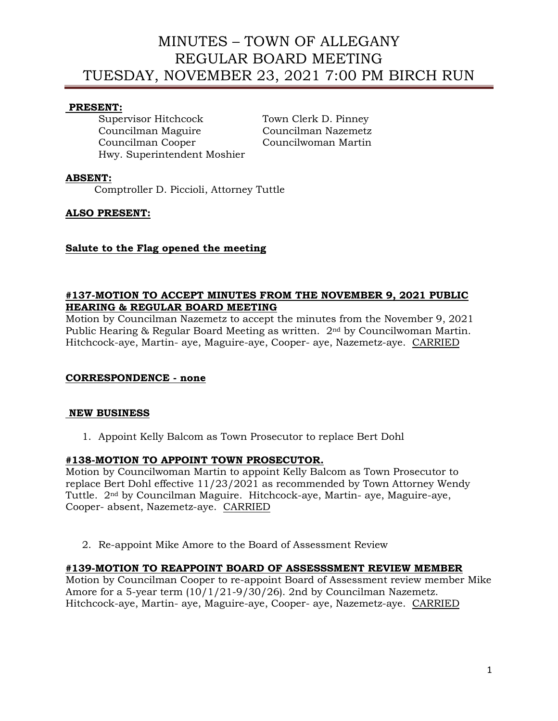# MINUTES – TOWN OF ALLEGANY REGULAR BOARD MEETING TUESDAY, NOVEMBER 23, 2021 7:00 PM BIRCH RUN

### **PRESENT:**

Supervisor Hitchcock Town Clerk D. Pinney Councilman Maguire Councilman Nazemetz Councilman Cooper Councilwoman Martin Hwy. Superintendent Moshier

### **ABSENT:**

Comptroller D. Piccioli, Attorney Tuttle

### **ALSO PRESENT:**

### **Salute to the Flag opened the meeting**

### **#137-MOTION TO ACCEPT MINUTES FROM THE NOVEMBER 9, 2021 PUBLIC HEARING & REGULAR BOARD MEETING**

Motion by Councilman Nazemetz to accept the minutes from the November 9, 2021 Public Hearing & Regular Board Meeting as written. 2nd by Councilwoman Martin. Hitchcock-aye, Martin- aye, Maguire-aye, Cooper- aye, Nazemetz-aye. CARRIED

## **CORRESPONDENCE - none**

### **NEW BUSINESS**

1. Appoint Kelly Balcom as Town Prosecutor to replace Bert Dohl

### **#138-MOTION TO APPOINT TOWN PROSECUTOR.**

Motion by Councilwoman Martin to appoint Kelly Balcom as Town Prosecutor to replace Bert Dohl effective 11/23/2021 as recommended by Town Attorney Wendy Tuttle. 2nd by Councilman Maguire. Hitchcock-aye, Martin- aye, Maguire-aye, Cooper- absent, Nazemetz-aye. CARRIED

2. Re-appoint Mike Amore to the Board of Assessment Review

## **#139-MOTION TO REAPPOINT BOARD OF ASSESSSMENT REVIEW MEMBER**

Motion by Councilman Cooper to re-appoint Board of Assessment review member Mike Amore for a 5-year term (10/1/21-9/30/26). 2nd by Councilman Nazemetz. Hitchcock-aye, Martin- aye, Maguire-aye, Cooper- aye, Nazemetz-aye. CARRIED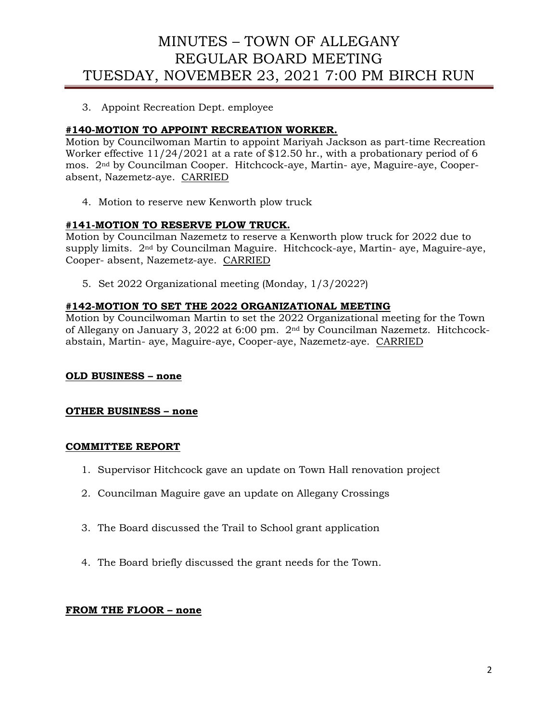# MINUTES – TOWN OF ALLEGANY REGULAR BOARD MEETING TUESDAY, NOVEMBER 23, 2021 7:00 PM BIRCH RUN

3. Appoint Recreation Dept. employee

## **#140-MOTION TO APPOINT RECREATION WORKER.**

Motion by Councilwoman Martin to appoint Mariyah Jackson as part-time Recreation Worker effective 11/24/2021 at a rate of \$12.50 hr., with a probationary period of 6 mos. 2nd by Councilman Cooper. Hitchcock-aye, Martin- aye, Maguire-aye, Cooperabsent, Nazemetz-aye. CARRIED

4. Motion to reserve new Kenworth plow truck

## **#141-MOTION TO RESERVE PLOW TRUCK.**

Motion by Councilman Nazemetz to reserve a Kenworth plow truck for 2022 due to supply limits. 2nd by Councilman Maguire. Hitchcock-aye, Martin- aye, Maguire-aye, Cooper- absent, Nazemetz-aye. CARRIED

5. Set 2022 Organizational meeting (Monday, 1/3/2022?)

### **#142-MOTION TO SET THE 2022 ORGANIZATIONAL MEETING**

Motion by Councilwoman Martin to set the 2022 Organizational meeting for the Town of Allegany on January 3, 2022 at 6:00 pm. 2nd by Councilman Nazemetz. Hitchcockabstain, Martin- aye, Maguire-aye, Cooper-aye, Nazemetz-aye. CARRIED

### **OLD BUSINESS – none**

### **OTHER BUSINESS – none**

#### **COMMITTEE REPORT**

- 1. Supervisor Hitchcock gave an update on Town Hall renovation project
- 2. Councilman Maguire gave an update on Allegany Crossings
- 3. The Board discussed the Trail to School grant application
- 4. The Board briefly discussed the grant needs for the Town.

### **FROM THE FLOOR – none**